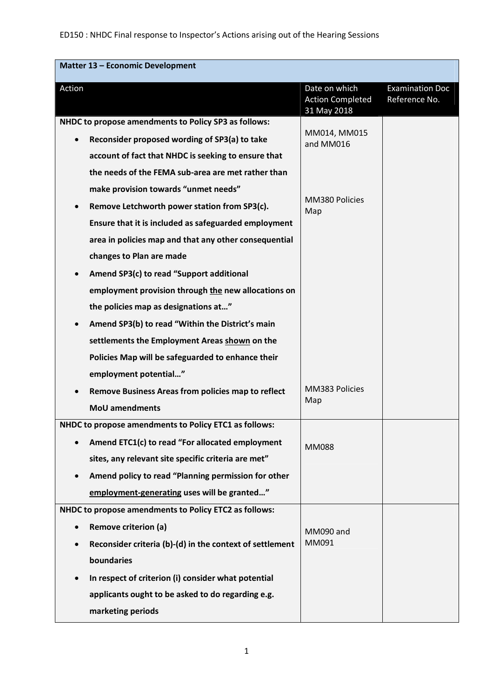| <b>Matter 13 - Economic Development</b>                    |                                                         |                                         |
|------------------------------------------------------------|---------------------------------------------------------|-----------------------------------------|
| Action                                                     | Date on which<br><b>Action Completed</b><br>31 May 2018 | <b>Examination Doc</b><br>Reference No. |
| NHDC to propose amendments to Policy SP3 as follows:       |                                                         |                                         |
| Reconsider proposed wording of SP3(a) to take<br>$\bullet$ | MM014, MM015<br>and MM016                               |                                         |
| account of fact that NHDC is seeking to ensure that        |                                                         |                                         |
| the needs of the FEMA sub-area are met rather than         |                                                         |                                         |
| make provision towards "unmet needs"                       |                                                         |                                         |
| Remove Letchworth power station from SP3(c).               | MM380 Policies<br>Map                                   |                                         |
| Ensure that it is included as safeguarded employment       |                                                         |                                         |
| area in policies map and that any other consequential      |                                                         |                                         |
| changes to Plan are made                                   |                                                         |                                         |
| Amend SP3(c) to read "Support additional                   |                                                         |                                         |
| employment provision through the new allocations on        |                                                         |                                         |
| the policies map as designations at"                       |                                                         |                                         |
| Amend SP3(b) to read "Within the District's main           |                                                         |                                         |
| settlements the Employment Areas shown on the              |                                                         |                                         |
| Policies Map will be safeguarded to enhance their          |                                                         |                                         |
| employment potential"                                      |                                                         |                                         |
| <b>Remove Business Areas from policies map to reflect</b>  | MM383 Policies<br>Map                                   |                                         |
| <b>MoU</b> amendments                                      |                                                         |                                         |
| NHDC to propose amendments to Policy ETC1 as follows:      |                                                         |                                         |
| Amend ETC1(c) to read "For allocated employment            | <b>MM088</b>                                            |                                         |
| sites, any relevant site specific criteria are met"        |                                                         |                                         |
| Amend policy to read "Planning permission for other        |                                                         |                                         |
| employment-generating uses will be granted"                |                                                         |                                         |
| NHDC to propose amendments to Policy ETC2 as follows:      |                                                         |                                         |
| <b>Remove criterion (a)</b>                                | MM090 and                                               |                                         |
| Reconsider criteria (b)-(d) in the context of settlement   | MM091                                                   |                                         |
| boundaries                                                 |                                                         |                                         |
| In respect of criterion (i) consider what potential        |                                                         |                                         |
| applicants ought to be asked to do regarding e.g.          |                                                         |                                         |
| marketing periods                                          |                                                         |                                         |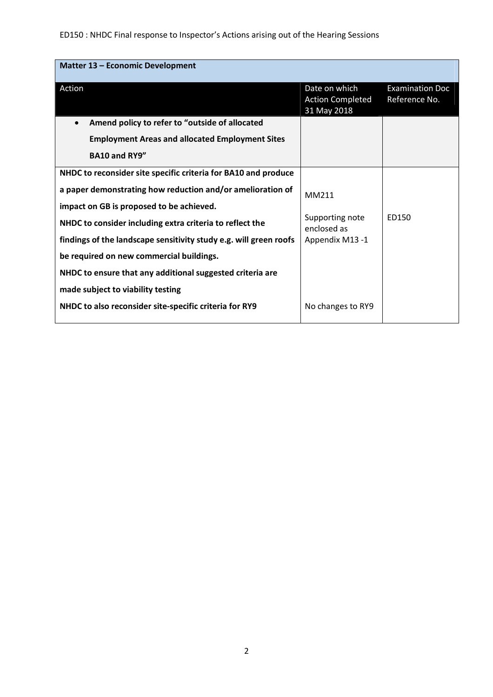# ED150 : NHDC Final response to Inspector's Actions arising out of the Hearing Sessions

| <b>Matter 13 - Economic Development</b>                           |                                                         |                                         |  |  |
|-------------------------------------------------------------------|---------------------------------------------------------|-----------------------------------------|--|--|
| Action                                                            | Date on which<br><b>Action Completed</b><br>31 May 2018 | <b>Examination Doc</b><br>Reference No. |  |  |
| Amend policy to refer to "outside of allocated                    |                                                         |                                         |  |  |
| <b>Employment Areas and allocated Employment Sites</b>            |                                                         |                                         |  |  |
| <b>BA10 and RY9"</b>                                              |                                                         |                                         |  |  |
| NHDC to reconsider site specific criteria for BA10 and produce    |                                                         |                                         |  |  |
| a paper demonstrating how reduction and/or amelioration of        | MM211                                                   |                                         |  |  |
| impact on GB is proposed to be achieved.                          |                                                         |                                         |  |  |
| NHDC to consider including extra criteria to reflect the          | Supporting note<br>enclosed as                          | ED150                                   |  |  |
| findings of the landscape sensitivity study e.g. will green roofs | Appendix M13-1                                          |                                         |  |  |
| be required on new commercial buildings.                          |                                                         |                                         |  |  |
| NHDC to ensure that any additional suggested criteria are         |                                                         |                                         |  |  |
| made subject to viability testing                                 |                                                         |                                         |  |  |
| NHDC to also reconsider site-specific criteria for RY9            | No changes to RY9                                       |                                         |  |  |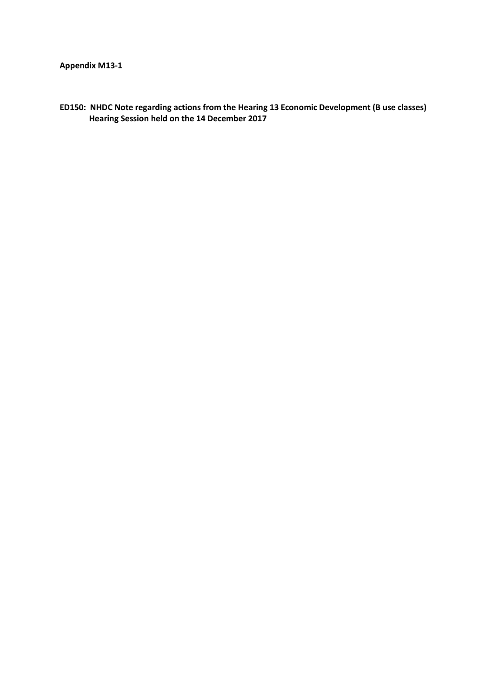## **Appendix M13-1**

**ED150: NHDC Note regarding actions from the Hearing 13 Economic Development (B use classes) Hearing Session held on the 14 December 2017**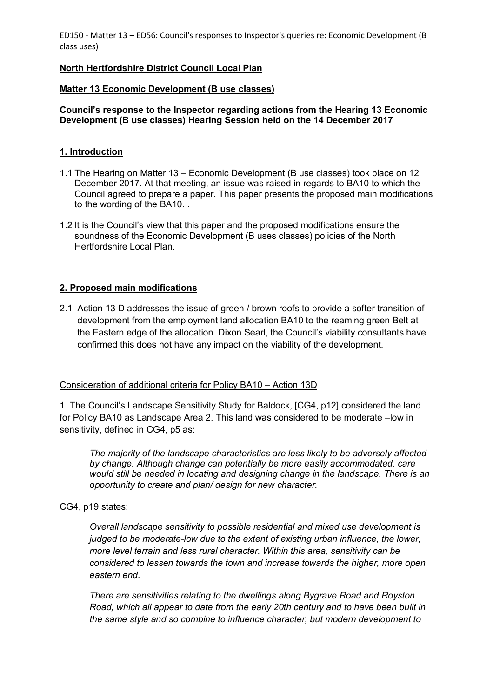## **North Hertfordshire District Council Local Plan**

## **Matter 13 Economic Development (B use classes)**

## **Council's response to the Inspector regarding actions from the Hearing 13 Economic Development (B use classes) Hearing Session held on the 14 December 2017**

## **1. Introduction**

- 1.1 The Hearing on Matter 13 Economic Development (B use classes) took place on 12 December 2017. At that meeting, an issue was raised in regards to BA10 to which the Council agreed to prepare a paper. This paper presents the proposed main modifications to the wording of the BA10. .
- 1.2 It is the Council's view that this paper and the proposed modifications ensure the soundness of the Economic Development (B uses classes) policies of the North Hertfordshire Local Plan.

#### **2. Proposed main modifications**

2.1 Action 13 D addresses the issue of green / brown roofs to provide a softer transition of development from the employment land allocation BA10 to the reaming green Belt at the Eastern edge of the allocation. Dixon Searl, the Council's viability consultants have confirmed this does not have any impact on the viability of the development.

#### Consideration of additional criteria for Policy BA10 – Action 13D

1. The Council's Landscape Sensitivity Study for Baldock, [CG4, p12] considered the land for Policy BA10 as Landscape Area 2. This land was considered to be moderate –low in sensitivity, defined in CG4, p5 as:

*The majority of the landscape characteristics are less likely to be adversely affected by change. Although change can potentially be more easily accommodated, care would still be needed in locating and designing change in the landscape. There is an opportunity to create and plan/ design for new character.* 

CG4, p19 states:

*Overall landscape sensitivity to possible residential and mixed use development is judged to be moderate-low due to the extent of existing urban influence, the lower, more level terrain and less rural character. Within this area, sensitivity can be considered to lessen towards the town and increase towards the higher, more open eastern end.* 

*There are sensitivities relating to the dwellings along Bygrave Road and Royston Road, which all appear to date from the early 20th century and to have been built in the same style and so combine to influence character, but modern development to*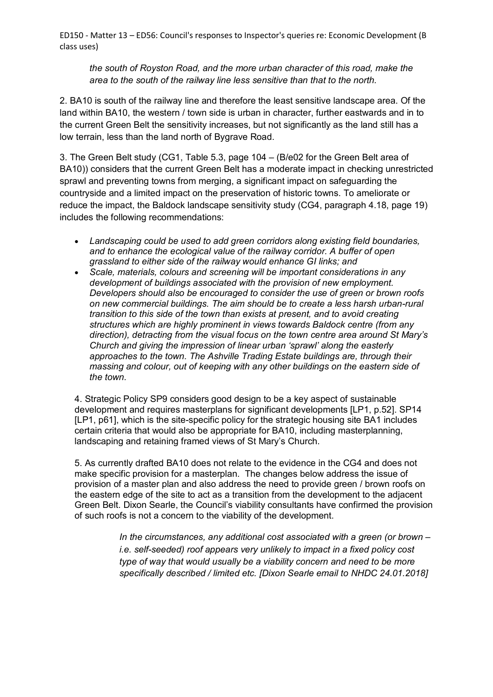*the south of Royston Road, and the more urban character of this road, make the area to the south of the railway line less sensitive than that to the north.* 

2. BA10 is south of the railway line and therefore the least sensitive landscape area. Of the land within BA10, the western / town side is urban in character, further eastwards and in to the current Green Belt the sensitivity increases, but not significantly as the land still has a low terrain, less than the land north of Bygrave Road.

3. The Green Belt study (CG1, Table 5.3, page 104 – (B/e02 for the Green Belt area of BA10)) considers that the current Green Belt has a moderate impact in checking unrestricted sprawl and preventing towns from merging, a significant impact on safeguarding the countryside and a limited impact on the preservation of historic towns. To ameliorate or reduce the impact, the Baldock landscape sensitivity study (CG4, paragraph 4.18, page 19) includes the following recommendations:

- *Landscaping could be used to add green corridors along existing field boundaries, and to enhance the ecological value of the railway corridor. A buffer of open grassland to either side of the railway would enhance GI links; and*
- *Scale, materials, colours and screening will be important considerations in any development of buildings associated with the provision of new employment. Developers should also be encouraged to consider the use of green or brown roofs on new commercial buildings. The aim should be to create a less harsh urban-rural transition to this side of the town than exists at present, and to avoid creating structures which are highly prominent in views towards Baldock centre (from any direction), detracting from the visual focus on the town centre area around St Mary's Church and giving the impression of linear urban 'sprawl' along the easterly approaches to the town. The Ashville Trading Estate buildings are, through their massing and colour, out of keeping with any other buildings on the eastern side of the town.*

4. Strategic Policy SP9 considers good design to be a key aspect of sustainable development and requires masterplans for significant developments [LP1, p.52]. SP14 [LP1, p61], which is the site-specific policy for the strategic housing site BA1 includes certain criteria that would also be appropriate for BA10, including masterplanning, landscaping and retaining framed views of St Mary's Church.

5. As currently drafted BA10 does not relate to the evidence in the CG4 and does not make specific provision for a masterplan. The changes below address the issue of provision of a master plan and also address the need to provide green / brown roofs on the eastern edge of the site to act as a transition from the development to the adjacent Green Belt. Dixon Searle, the Council's viability consultants have confirmed the provision of such roofs is not a concern to the viability of the development.

> *In the circumstances, any additional cost associated with a green (or brown – i.e. self-seeded) roof appears very unlikely to impact in a fixed policy cost type of way that would usually be a viability concern and need to be more specifically described / limited etc. [Dixon Searle email to NHDC 24.01.2018]*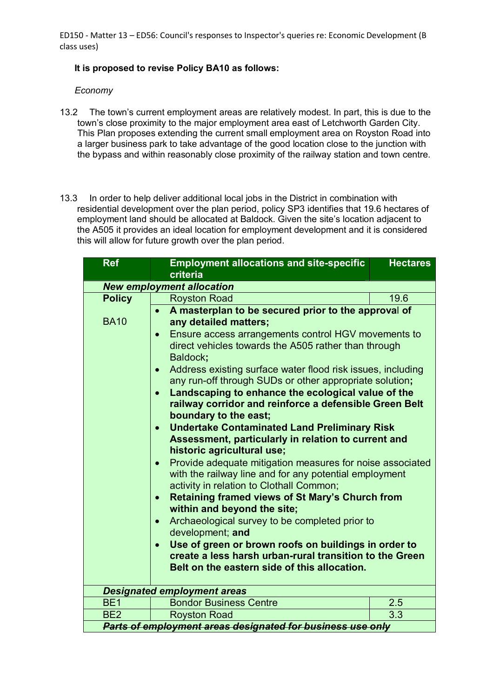## **It is proposed to revise Policy BA10 as follows:**

## *Economy*

- 13.2 The town's current employment areas are relatively modest. In part, this is due to the town's close proximity to the major employment area east of Letchworth Garden City. This Plan proposes extending the current small employment area on Royston Road into a larger business park to take advantage of the good location close to the junction with the bypass and within reasonably close proximity of the railway station and town centre.
- 13.3 In order to help deliver additional local jobs in the District in combination with residential development over the plan period, policy SP3 identifies that 19.6 hectares of employment land should be allocated at Baldock. Given the site's location adjacent to the A505 it provides an ideal location for employment development and it is considered this will allow for future growth over the plan period.

| <b>Ref</b>                                                                                                                                                                                                                                                                                                                                                                                                                                                                                                                                                                                                                                                                                                                                                                                                                                                                                                                                                                                                                                                                                                                                                                                                               | <b>Employment allocations and site-specific</b>            | <b>Hectares</b> |  |  |
|--------------------------------------------------------------------------------------------------------------------------------------------------------------------------------------------------------------------------------------------------------------------------------------------------------------------------------------------------------------------------------------------------------------------------------------------------------------------------------------------------------------------------------------------------------------------------------------------------------------------------------------------------------------------------------------------------------------------------------------------------------------------------------------------------------------------------------------------------------------------------------------------------------------------------------------------------------------------------------------------------------------------------------------------------------------------------------------------------------------------------------------------------------------------------------------------------------------------------|------------------------------------------------------------|-----------------|--|--|
|                                                                                                                                                                                                                                                                                                                                                                                                                                                                                                                                                                                                                                                                                                                                                                                                                                                                                                                                                                                                                                                                                                                                                                                                                          | criteria                                                   |                 |  |  |
| <b>New employment allocation</b>                                                                                                                                                                                                                                                                                                                                                                                                                                                                                                                                                                                                                                                                                                                                                                                                                                                                                                                                                                                                                                                                                                                                                                                         |                                                            |                 |  |  |
| <b>Policy</b>                                                                                                                                                                                                                                                                                                                                                                                                                                                                                                                                                                                                                                                                                                                                                                                                                                                                                                                                                                                                                                                                                                                                                                                                            | <b>Royston Road</b>                                        | 19.6            |  |  |
| A masterplan to be secured prior to the approval of<br><b>BA10</b><br>any detailed matters;<br>Ensure access arrangements control HGV movements to<br>$\bullet$<br>direct vehicles towards the A505 rather than through<br>Baldock;<br>Address existing surface water flood risk issues, including<br>$\bullet$<br>any run-off through SUDs or other appropriate solution;<br>Landscaping to enhance the ecological value of the<br>$\bullet$<br>railway corridor and reinforce a defensible Green Belt<br>boundary to the east;<br><b>Undertake Contaminated Land Preliminary Risk</b><br>Assessment, particularly in relation to current and<br>historic agricultural use;<br>Provide adequate mitigation measures for noise associated<br>with the railway line and for any potential employment<br>activity in relation to Clothall Common;<br><b>Retaining framed views of St Mary's Church from</b><br>$\bullet$<br>within and beyond the site;<br>Archaeological survey to be completed prior to<br>$\bullet$<br>development; and<br>Use of green or brown roofs on buildings in order to<br>$\bullet$<br>create a less harsh urban-rural transition to the Green<br>Belt on the eastern side of this allocation. |                                                            |                 |  |  |
| <b>Designated employment areas</b>                                                                                                                                                                                                                                                                                                                                                                                                                                                                                                                                                                                                                                                                                                                                                                                                                                                                                                                                                                                                                                                                                                                                                                                       |                                                            |                 |  |  |
| BE <sub>1</sub>                                                                                                                                                                                                                                                                                                                                                                                                                                                                                                                                                                                                                                                                                                                                                                                                                                                                                                                                                                                                                                                                                                                                                                                                          | <b>Bondor Business Centre</b>                              | 2.5             |  |  |
| BE <sub>2</sub>                                                                                                                                                                                                                                                                                                                                                                                                                                                                                                                                                                                                                                                                                                                                                                                                                                                                                                                                                                                                                                                                                                                                                                                                          | <b>Royston Road</b>                                        | 3.3             |  |  |
|                                                                                                                                                                                                                                                                                                                                                                                                                                                                                                                                                                                                                                                                                                                                                                                                                                                                                                                                                                                                                                                                                                                                                                                                                          | Parts of employment areas designated for business use only |                 |  |  |